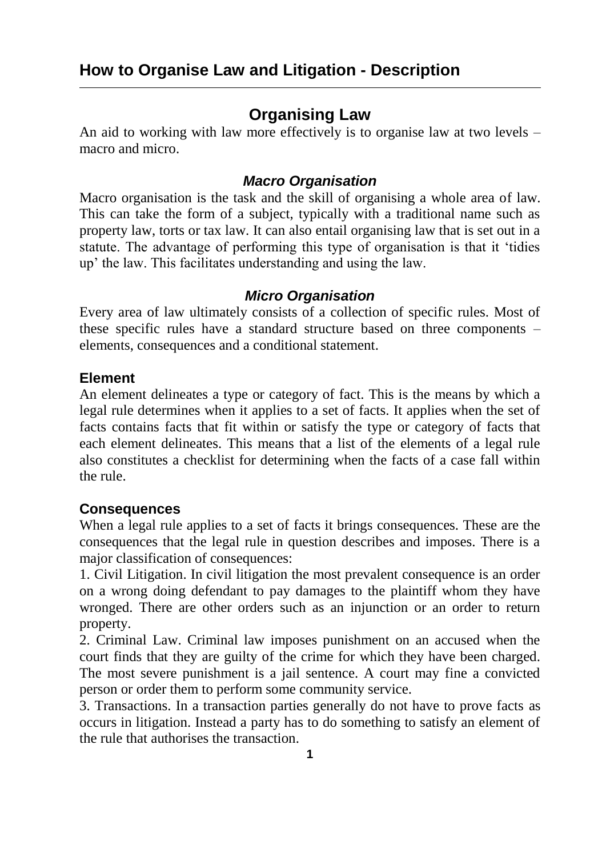# **Organising Law**

An aid to working with law more effectively is to organise law at two levels – macro and micro.

### *Macro Organisation*

Macro organisation is the task and the skill of organising a whole area of law. This can take the form of a subject, typically with a traditional name such as property law, torts or tax law. It can also entail organising law that is set out in a statute. The advantage of performing this type of organisation is that it 'tidies up' the law. This facilitates understanding and using the law.

### *Micro Organisation*

Every area of law ultimately consists of a collection of specific rules. Most of these specific rules have a standard structure based on three components – elements, consequences and a conditional statement.

#### **Element**

An element delineates a type or category of fact. This is the means by which a legal rule determines when it applies to a set of facts. It applies when the set of facts contains facts that fit within or satisfy the type or category of facts that each element delineates. This means that a list of the elements of a legal rule also constitutes a checklist for determining when the facts of a case fall within the rule.

### **Consequences**

When a legal rule applies to a set of facts it brings consequences. These are the consequences that the legal rule in question describes and imposes. There is a major classification of consequences:

1. Civil Litigation. In civil litigation the most prevalent consequence is an order on a wrong doing defendant to pay damages to the plaintiff whom they have wronged. There are other orders such as an injunction or an order to return property.

2. Criminal Law. Criminal law imposes punishment on an accused when the court finds that they are guilty of the crime for which they have been charged. The most severe punishment is a jail sentence. A court may fine a convicted person or order them to perform some community service.

3. Transactions. In a transaction parties generally do not have to prove facts as occurs in litigation. Instead a party has to do something to satisfy an element of the rule that authorises the transaction.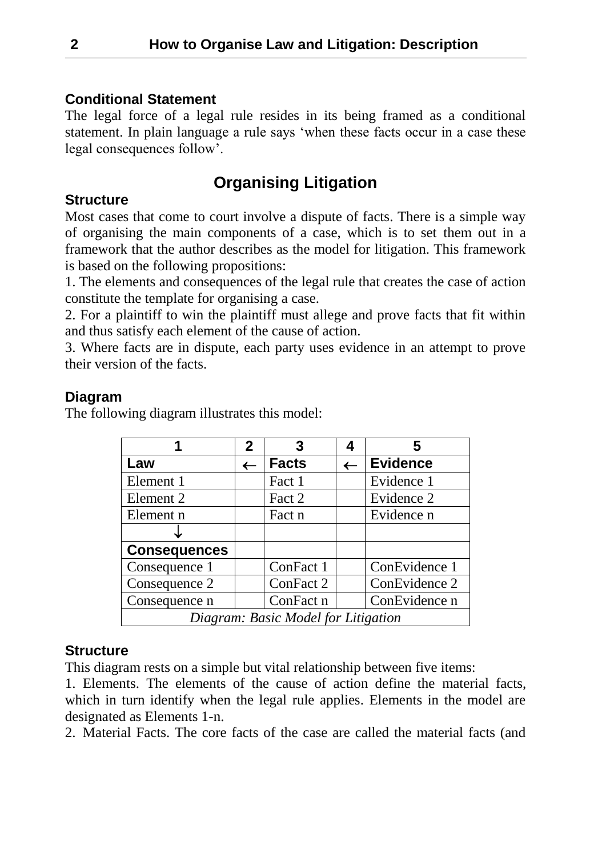### **Conditional Statement**

The legal force of a legal rule resides in its being framed as a conditional statement. In plain language a rule says 'when these facts occur in a case these legal consequences follow'.

# **Organising Litigation**

### **Structure**

Most cases that come to court involve a dispute of facts. There is a simple way of organising the main components of a case, which is to set them out in a framework that the author describes as the model for litigation. This framework is based on the following propositions:

1. The elements and consequences of the legal rule that creates the case of action constitute the template for organising a case.

2. For a plaintiff to win the plaintiff must allege and prove facts that fit within and thus satisfy each element of the cause of action.

3. Where facts are in dispute, each party uses evidence in an attempt to prove their version of the facts.

### **Diagram**

The following diagram illustrates this model:

|                                     | $\mathbf{2}$ | 3            |              | 5               |
|-------------------------------------|--------------|--------------|--------------|-----------------|
| Law                                 | $\leftarrow$ | <b>Facts</b> | $\leftarrow$ | <b>Evidence</b> |
| Element 1                           |              | Fact 1       |              | Evidence 1      |
| Element 2                           |              | Fact 2       |              | Evidence 2      |
| Element n                           |              | Fact n       |              | Evidence n      |
|                                     |              |              |              |                 |
| <b>Consequences</b>                 |              |              |              |                 |
| Consequence 1                       |              | ConFact 1    |              | ConEvidence 1   |
| Consequence 2                       |              | ConFact 2    |              | ConEvidence 2   |
| Consequence n                       |              | ConFact n    |              | ConEvidence n   |
| Diagram: Basic Model for Litigation |              |              |              |                 |

### **Structure**

This diagram rests on a simple but vital relationship between five items:

1. Elements. The elements of the cause of action define the material facts, which in turn identify when the legal rule applies. Elements in the model are designated as Elements 1-n.

2. Material Facts. The core facts of the case are called the material facts (and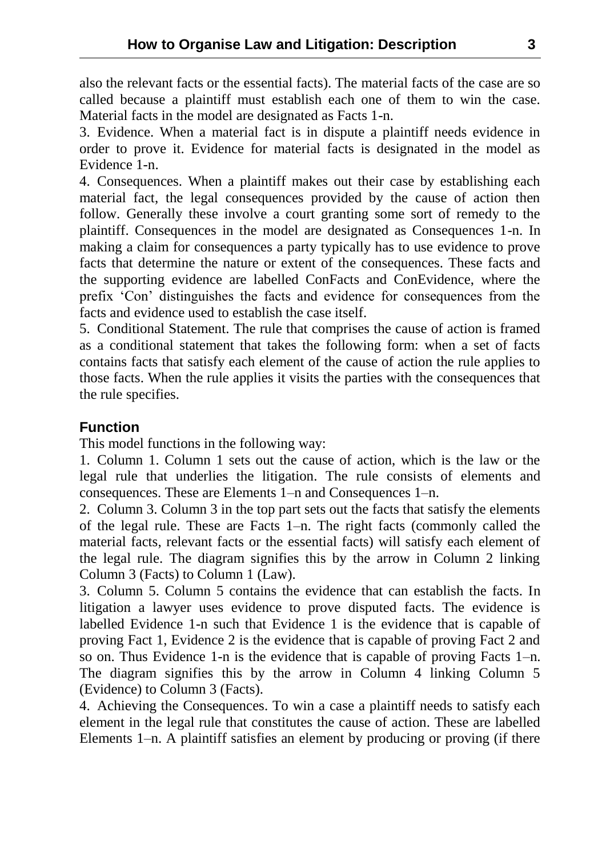also the relevant facts or the essential facts). The material facts of the case are so called because a plaintiff must establish each one of them to win the case. Material facts in the model are designated as Facts 1-n.

3. Evidence. When a material fact is in dispute a plaintiff needs evidence in order to prove it. Evidence for material facts is designated in the model as Evidence 1-n.

4. Consequences. When a plaintiff makes out their case by establishing each material fact, the legal consequences provided by the cause of action then follow. Generally these involve a court granting some sort of remedy to the plaintiff. Consequences in the model are designated as Consequences 1-n. In making a claim for consequences a party typically has to use evidence to prove facts that determine the nature or extent of the consequences. These facts and the supporting evidence are labelled ConFacts and ConEvidence, where the prefix 'Con' distinguishes the facts and evidence for consequences from the facts and evidence used to establish the case itself.

5. Conditional Statement. The rule that comprises the cause of action is framed as a conditional statement that takes the following form: when a set of facts contains facts that satisfy each element of the cause of action the rule applies to those facts. When the rule applies it visits the parties with the consequences that the rule specifies.

## **Function**

This model functions in the following way:

1. Column 1. Column 1 sets out the cause of action, which is the law or the legal rule that underlies the litigation. The rule consists of elements and consequences. These are Elements 1–n and Consequences 1–n.

2. Column 3. Column 3 in the top part sets out the facts that satisfy the elements of the legal rule. These are Facts 1–n. The right facts (commonly called the material facts, relevant facts or the essential facts) will satisfy each element of the legal rule. The diagram signifies this by the arrow in Column 2 linking Column 3 (Facts) to Column 1 (Law).

3. Column 5. Column 5 contains the evidence that can establish the facts. In litigation a lawyer uses evidence to prove disputed facts. The evidence is labelled Evidence 1-n such that Evidence 1 is the evidence that is capable of proving Fact 1, Evidence 2 is the evidence that is capable of proving Fact 2 and so on. Thus Evidence 1-n is the evidence that is capable of proving Facts 1–n. The diagram signifies this by the arrow in Column 4 linking Column 5 (Evidence) to Column 3 (Facts).

4. Achieving the Consequences. To win a case a plaintiff needs to satisfy each element in the legal rule that constitutes the cause of action. These are labelled Elements 1–n. A plaintiff satisfies an element by producing or proving (if there